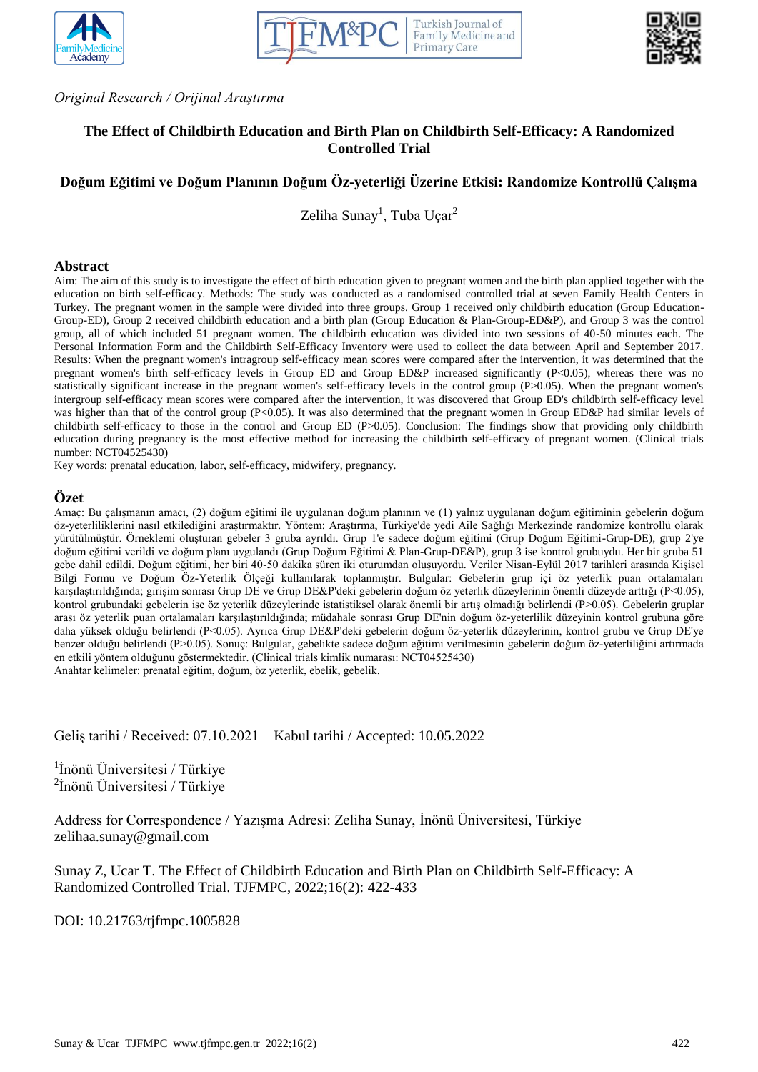





*Original Research / Orijinal Araştırma*

# **The Effect of Childbirth Education and Birth Plan on Childbirth Self-Efficacy: A Randomized Controlled Trial**

# **Doğum Eğitimi ve Doğum Planının Doğum Öz-yeterliği Üzerine Etkisi: Randomize Kontrollü Çalışma**

Zeliha Sunay<sup>1</sup>, Tuba Uçar<sup>2</sup>

#### **Abstract**

Aim: The aim of this study is to investigate the effect of birth education given to pregnant women and the birth plan applied together with the education on birth self-efficacy. Methods: The study was conducted as a randomised controlled trial at seven Family Health Centers in Turkey. The pregnant women in the sample were divided into three groups. Group 1 received only childbirth education (Group Education-Group-ED), Group 2 received childbirth education and a birth plan (Group Education & Plan-Group-ED&P), and Group 3 was the control group, all of which included 51 pregnant women. The childbirth education was divided into two sessions of 40-50 minutes each. The Personal Information Form and the Childbirth Self-Efficacy Inventory were used to collect the data between April and September 2017. Results: When the pregnant women's intragroup self-efficacy mean scores were compared after the intervention, it was determined that the pregnant women's birth self-efficacy levels in Group ED and Group ED&P increased significantly (P<0.05), whereas there was no statistically significant increase in the pregnant women's self-efficacy levels in the control group (P>0.05). When the pregnant women's intergroup self-efficacy mean scores were compared after the intervention, it was discovered that Group ED's childbirth self-efficacy level was higher than that of the control group (P<0.05). It was also determined that the pregnant women in Group ED&P had similar levels of childbirth self-efficacy to those in the control and Group ED (P>0.05). Conclusion: The findings show that providing only childbirth education during pregnancy is the most effective method for increasing the childbirth self-efficacy of pregnant women. (Clinical trials number: NCT04525430)

Key words: prenatal education, labor, self-efficacy, midwifery, pregnancy.

#### **Özet**

Amaç: Bu çalışmanın amacı, (2) doğum eğitimi ile uygulanan doğum planının ve (1) yalnız uygulanan doğum eğitiminin gebelerin doğum öz-yeterliliklerini nasıl etkilediğini araştırmaktır. Yöntem: Araştırma, Türkiye'de yedi Aile Sağlığı Merkezinde randomize kontrollü olarak yürütülmüştür. Örneklemi oluşturan gebeler 3 gruba ayrıldı. Grup 1'e sadece doğum eğitimi (Grup Doğum Eğitimi-Grup-DE), grup 2'ye doğum eğitimi verildi ve doğum planı uygulandı (Grup Doğum Eğitimi & Plan-Grup-DE&P), grup 3 ise kontrol grubuydu. Her bir gruba 51 gebe dahil edildi. Doğum eğitimi, her biri 40-50 dakika süren iki oturumdan oluşuyordu. Veriler Nisan-Eylül 2017 tarihleri arasında Kişisel Bilgi Formu ve Doğum Öz-Yeterlik Ölçeği kullanılarak toplanmıştır. Bulgular: Gebelerin grup içi öz yeterlik puan ortalamaları karşılaştırıldığında; girişim sonrası Grup DE ve Grup DE&P'deki gebelerin doğum öz yeterlik düzeylerinin önemli düzeyde arttığı (P<0.05), kontrol grubundaki gebelerin ise öz yeterlik düzeylerinde istatistiksel olarak önemli bir artış olmadığı belirlendi (P>0.05). Gebelerin gruplar arası öz yeterlik puan ortalamaları karşılaştırıldığında; müdahale sonrası Grup DE'nin doğum öz-yeterlilik düzeyinin kontrol grubuna göre daha yüksek olduğu belirlendi (P<0.05). Ayrıca Grup DE&P'deki gebelerin doğum öz-yeterlik düzeylerinin, kontrol grubu ve Grup DE'ye benzer olduğu belirlendi (P>0.05). Sonuç: Bulgular, gebelikte sadece doğum eğitimi verilmesinin gebelerin doğum öz-yeterliliğini artırmada en etkili yöntem olduğunu göstermektedir. (Clinical trials kimlik numarası: NCT04525430) Anahtar kelimeler: prenatal eğitim, doğum, öz yeterlik, ebelik, gebelik.

Geliş tarihi / Received: 07.10.2021 Kabul tarihi / Accepted: 10.05.2022

<sup>1</sup>İnönü Üniversitesi / Türkiye <sup>2</sup>İnönü Üniversitesi / Türkiye

Address for Correspondence / Yazışma Adresi: Zeliha Sunay, İnönü Üniversitesi, Türkiye zelihaa.sunay@gmail.com

Sunay Z, Ucar T. The Effect of Childbirth Education and Birth Plan on Childbirth Self-Efficacy: A Randomized Controlled Trial. TJFMPC, 2022;16(2): 422-433

DOI: 10.21763/tjfmpc.1005828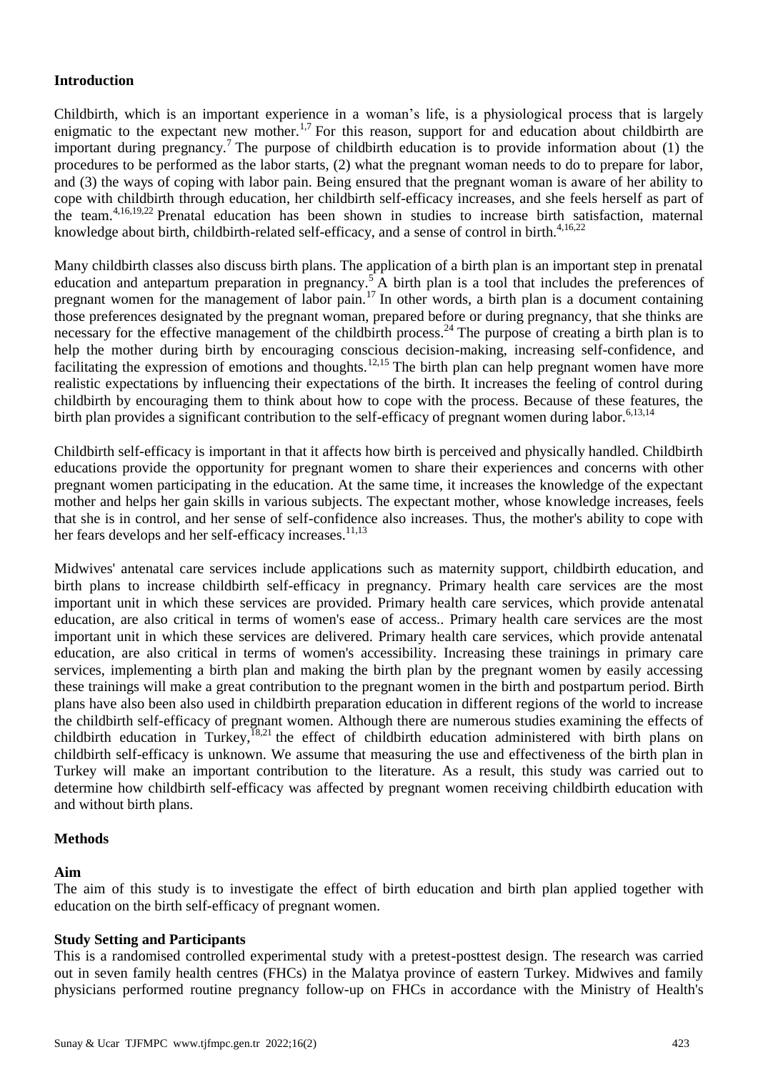# **Introduction**

Childbirth, which is an important experience in a woman's life, is a physiological process that is largely enigmatic to the expectant new mother.<sup>1,7</sup> For this reason, support for and education about childbirth are important during pregnancy.<sup>7</sup> The purpose of childbirth education is to provide information about (1) the procedures to be performed as the labor starts, (2) what the pregnant woman needs to do to prepare for labor, and (3) the ways of coping with labor pain. Being ensured that the pregnant woman is aware of her ability to cope with childbirth through education, her childbirth self-efficacy increases, and she feels herself as part of the team.4,16,19,22 Prenatal education has been shown in studies to increase birth satisfaction, maternal knowledge about birth, childbirth-related self-efficacy, and a sense of control in birth.<sup>4,16,22</sup>

Many childbirth classes also discuss birth plans. The application of a birth plan is an important step in prenatal education and antepartum preparation in pregnancy.<sup>5</sup> A birth plan is a tool that includes the preferences of pregnant women for the management of labor pain.<sup>17</sup> In other words, a birth plan is a document containing those preferences designated by the pregnant woman, prepared before or during pregnancy, that she thinks are necessary for the effective management of the childbirth process.<sup>24</sup> The purpose of creating a birth plan is to help the mother during birth by encouraging conscious decision-making, increasing self-confidence, and facilitating the expression of emotions and thoughts.<sup>12,15</sup> The birth plan can help pregnant women have more realistic expectations by influencing their expectations of the birth. It increases the feeling of control during childbirth by encouraging them to think about how to cope with the process. Because of these features, the birth plan provides a significant contribution to the self-efficacy of pregnant women during labor.<sup>6,13,14</sup>

Childbirth self-efficacy is important in that it affects how birth is perceived and physically handled. Childbirth educations provide the opportunity for pregnant women to share their experiences and concerns with other pregnant women participating in the education. At the same time, it increases the knowledge of the expectant mother and helps her gain skills in various subjects. The expectant mother, whose knowledge increases, feels that she is in control, and her sense of self-confidence also increases. Thus, the mother's ability to cope with her fears develops and her self-efficacy increases.<sup>11,13</sup>

Midwives' antenatal care services include applications such as maternity support, childbirth education, and birth plans to increase childbirth self-efficacy in pregnancy. Primary health care services are the most important unit in which these services are provided. Primary health care services, which provide antenatal education, are also critical in terms of women's ease of access.. Primary health care services are the most important unit in which these services are delivered. Primary health care services, which provide antenatal education, are also critical in terms of women's accessibility. Increasing these trainings in primary care services, implementing a birth plan and making the birth plan by the pregnant women by easily accessing these trainings will make a great contribution to the pregnant women in the birth and postpartum period. Birth plans have also been also used in childbirth preparation education in different regions of the world to increase the childbirth self-efficacy of pregnant women. Although there are numerous studies examining the effects of childbirth education in Turkey,<sup>18,21</sup> the effect of childbirth education administered with birth plans on childbirth self-efficacy is unknown. We assume that measuring the use and effectiveness of the birth plan in Turkey will make an important contribution to the literature. As a result, this study was carried out to determine how childbirth self-efficacy was affected by pregnant women receiving childbirth education with and without birth plans.

# **Methods**

# **Aim**

The aim of this study is to investigate the effect of birth education and birth plan applied together with education on the birth self-efficacy of pregnant women.

# **Study Setting and Participants**

This is a randomised controlled experimental study with a pretest-posttest design. The research was carried out in seven family health centres (FHCs) in the Malatya province of eastern Turkey. Midwives and family physicians performed routine pregnancy follow-up on FHCs in accordance with the Ministry of Health's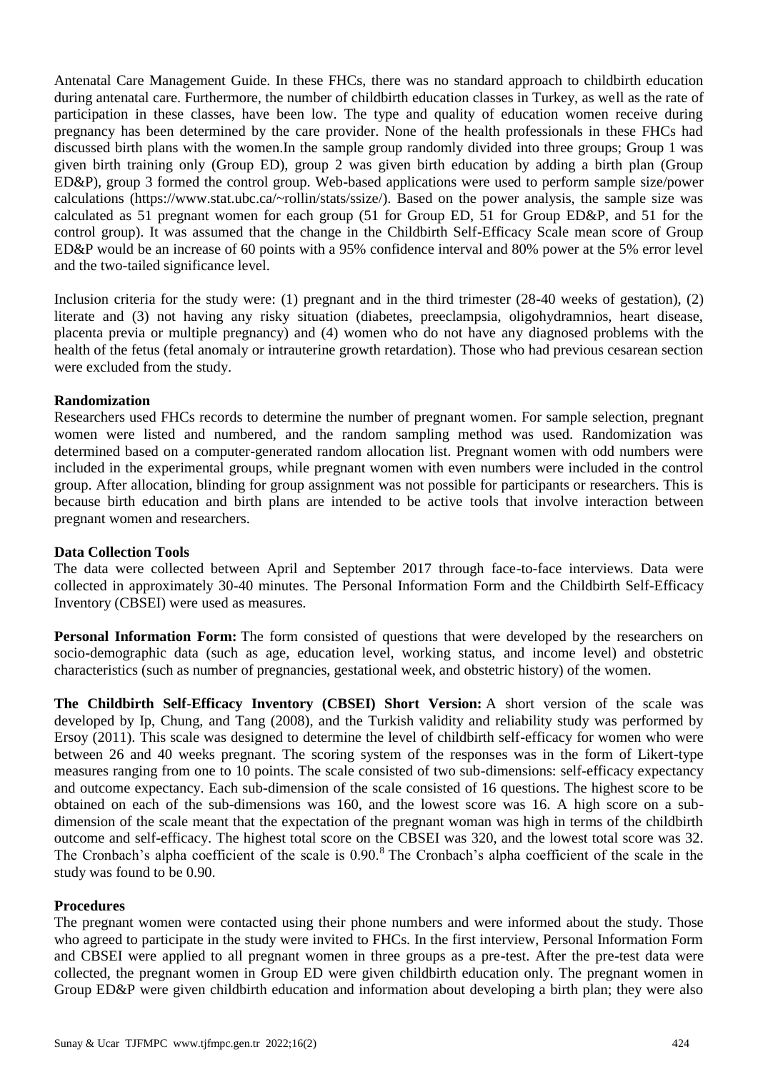Antenatal Care Management Guide. In these FHCs, there was no standard approach to childbirth education during antenatal care. Furthermore, the number of childbirth education classes in Turkey, as well as the rate of participation in these classes, have been low. The type and quality of education women receive during pregnancy has been determined by the care provider. None of the health professionals in these FHCs had discussed birth plans with the women.In the sample group randomly divided into three groups; Group 1 was given birth training only (Group ED), group 2 was given birth education by adding a birth plan (Group ED&P), group 3 formed the control group. Web-based applications were used to perform sample size/power calculations (https://www.stat.ubc.ca/~rollin/stats/ssize/). Based on the power analysis, the sample size was calculated as 51 pregnant women for each group (51 for Group ED, 51 for Group ED&P, and 51 for the control group). It was assumed that the change in the Childbirth Self-Efficacy Scale mean score of Group ED&P would be an increase of 60 points with a 95% confidence interval and 80% power at the 5% error level and the two-tailed significance level.

Inclusion criteria for the study were: (1) pregnant and in the third trimester (28-40 weeks of gestation), (2) literate and (3) not having any risky situation (diabetes, preeclampsia, oligohydramnios, heart disease, placenta previa or multiple pregnancy) and (4) women who do not have any diagnosed problems with the health of the fetus (fetal anomaly or intrauterine growth retardation). Those who had previous cesarean section were excluded from the study.

## **Randomization**

Researchers used FHCs records to determine the number of pregnant women. For sample selection, pregnant women were listed and numbered, and the random sampling method was used. Randomization was determined based on a computer-generated random allocation list. Pregnant women with odd numbers were included in the experimental groups, while pregnant women with even numbers were included in the control group. After allocation, blinding for group assignment was not possible for participants or researchers. This is because birth education and birth plans are intended to be active tools that involve interaction between pregnant women and researchers.

### **Data Collection Tools**

The data were collected between April and September 2017 through face-to-face interviews. Data were collected in approximately 30-40 minutes. The Personal Information Form and the Childbirth Self-Efficacy Inventory (CBSEI) were used as measures.

**Personal Information Form:** The form consisted of questions that were developed by the researchers on socio-demographic data (such as age, education level, working status, and income level) and obstetric characteristics (such as number of pregnancies, gestational week, and obstetric history) of the women.

**The Childbirth Self-Efficacy Inventory (CBSEI) Short Version:** A short version of the scale was developed by Ip, Chung, and Tang (2008), and the Turkish validity and reliability study was performed by Ersoy (2011). This scale was designed to determine the level of childbirth self-efficacy for women who were between 26 and 40 weeks pregnant. The scoring system of the responses was in the form of Likert-type measures ranging from one to 10 points. The scale consisted of two sub-dimensions: self-efficacy expectancy and outcome expectancy. Each sub-dimension of the scale consisted of 16 questions. The highest score to be obtained on each of the sub-dimensions was 160, and the lowest score was 16. A high score on a subdimension of the scale meant that the expectation of the pregnant woman was high in terms of the childbirth outcome and self-efficacy. The highest total score on the CBSEI was 320, and the lowest total score was 32. The Cronbach's alpha coefficient of the scale is  $0.90$ .<sup>8</sup> The Cronbach's alpha coefficient of the scale in the study was found to be 0.90.

#### **Procedures**

The pregnant women were contacted using their phone numbers and were informed about the study. Those who agreed to participate in the study were invited to FHCs. In the first interview, Personal Information Form and CBSEI were applied to all pregnant women in three groups as a pre-test. After the pre-test data were collected, the pregnant women in Group ED were given childbirth education only. The pregnant women in Group ED&P were given childbirth education and information about developing a birth plan; they were also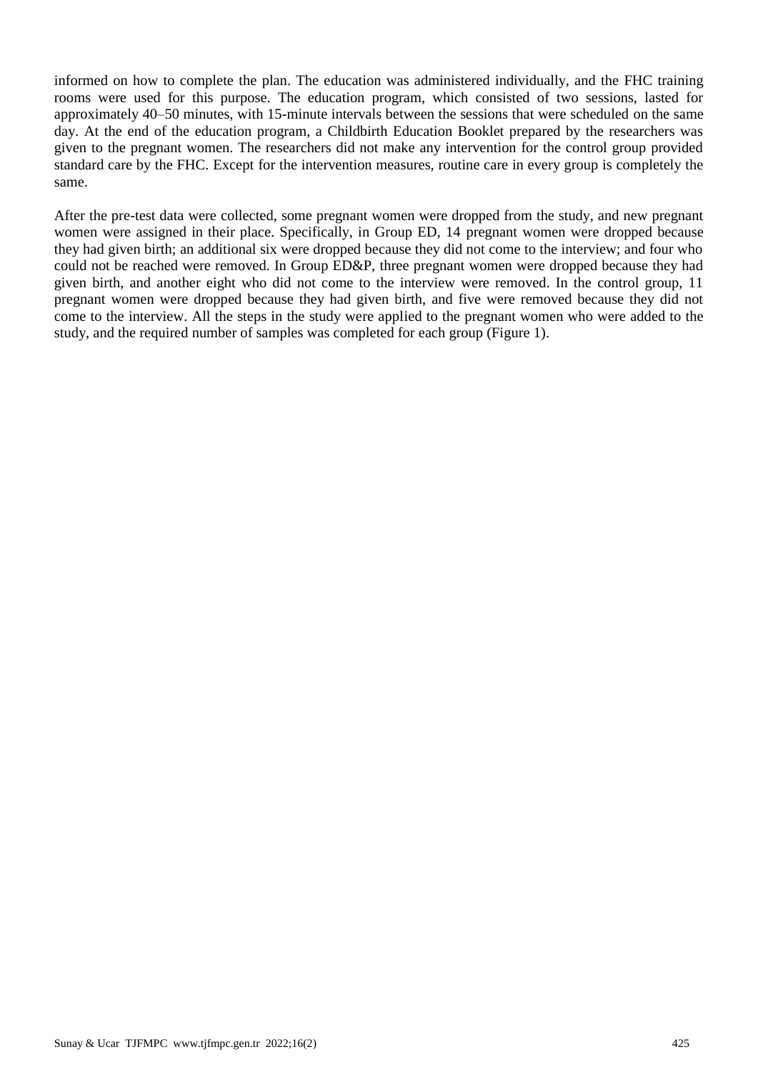informed on how to complete the plan. The education was administered individually, and the FHC training rooms were used for this purpose. The education program, which consisted of two sessions, lasted for approximately 40–50 minutes, with 15-minute intervals between the sessions that were scheduled on the same day. At the end of the education program, a Childbirth Education Booklet prepared by the researchers was given to the pregnant women. The researchers did not make any intervention for the control group provided standard care by the FHC. Except for the intervention measures, routine care in every group is completely the same.

After the pre-test data were collected, some pregnant women were dropped from the study, and new pregnant women were assigned in their place. Specifically, in Group ED, 14 pregnant women were dropped because they had given birth; an additional six were dropped because they did not come to the interview; and four who could not be reached were removed. In Group ED&P, three pregnant women were dropped because they had given birth, and another eight who did not come to the interview were removed. In the control group, 11 pregnant women were dropped because they had given birth, and five were removed because they did not come to the interview. All the steps in the study were applied to the pregnant women who were added to the study, and the required number of samples was completed for each group (Figure 1).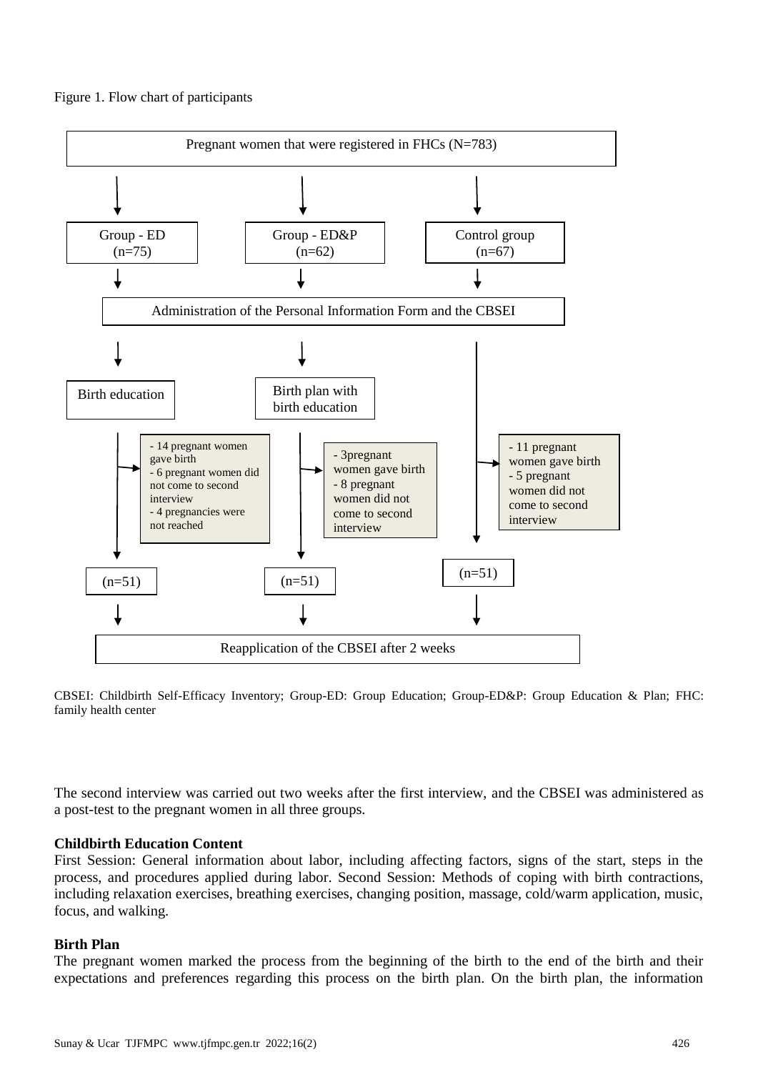



CBSEI: Childbirth Self-Efficacy Inventory; Group-ED: Group Education; Group-ED&P: Group Education & Plan; FHC: family health center

The second interview was carried out two weeks after the first interview, and the CBSEI was administered as a post-test to the pregnant women in all three groups.

#### **Childbirth Education Content**

First Session: General information about labor, including affecting factors, signs of the start, steps in the process, and procedures applied during labor. Second Session: Methods of coping with birth contractions, including relaxation exercises, breathing exercises, changing position, massage, cold/warm application, music, focus, and walking.

#### **Birth Plan**

The pregnant women marked the process from the beginning of the birth to the end of the birth and their expectations and preferences regarding this process on the birth plan. On the birth plan, the information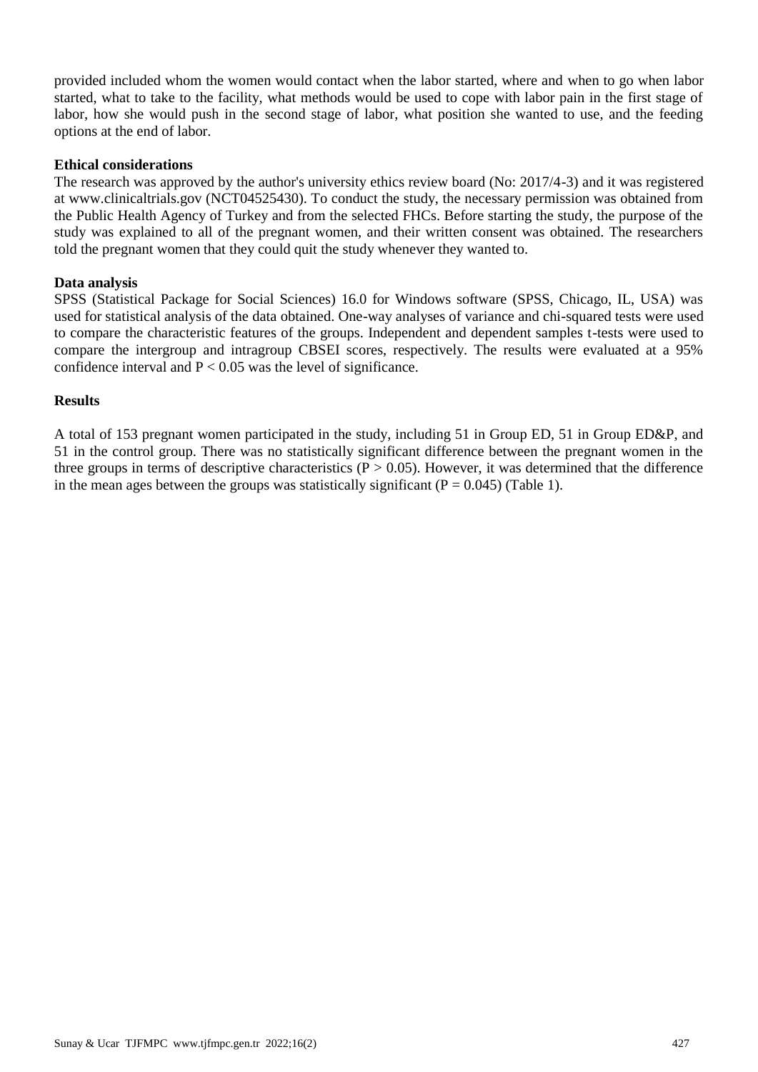provided included whom the women would contact when the labor started, where and when to go when labor started, what to take to the facility, what methods would be used to cope with labor pain in the first stage of labor, how she would push in the second stage of labor, what position she wanted to use, and the feeding options at the end of labor.

## **Ethical considerations**

The research was approved by the author's university ethics review board (No: 2017/4-3) and it was registered at www.clinicaltrials.gov (NCT04525430). To conduct the study, the necessary permission was obtained from the Public Health Agency of Turkey and from the selected FHCs. Before starting the study, the purpose of the study was explained to all of the pregnant women, and their written consent was obtained. The researchers told the pregnant women that they could quit the study whenever they wanted to.

## **Data analysis**

SPSS (Statistical Package for Social Sciences) 16.0 for Windows software (SPSS, Chicago, IL, USA) was used for statistical analysis of the data obtained. One-way analyses of variance and chi-squared tests were used to compare the characteristic features of the groups. Independent and dependent samples t-tests were used to compare the intergroup and intragroup CBSEI scores, respectively. The results were evaluated at a 95% confidence interval and  $P < 0.05$  was the level of significance.

## **Results**

A total of 153 pregnant women participated in the study, including 51 in Group ED, 51 in Group ED&P, and 51 in the control group. There was no statistically significant difference between the pregnant women in the three groups in terms of descriptive characteristics  $(P > 0.05)$ . However, it was determined that the difference in the mean ages between the groups was statistically significant ( $P = 0.045$ ) (Table 1).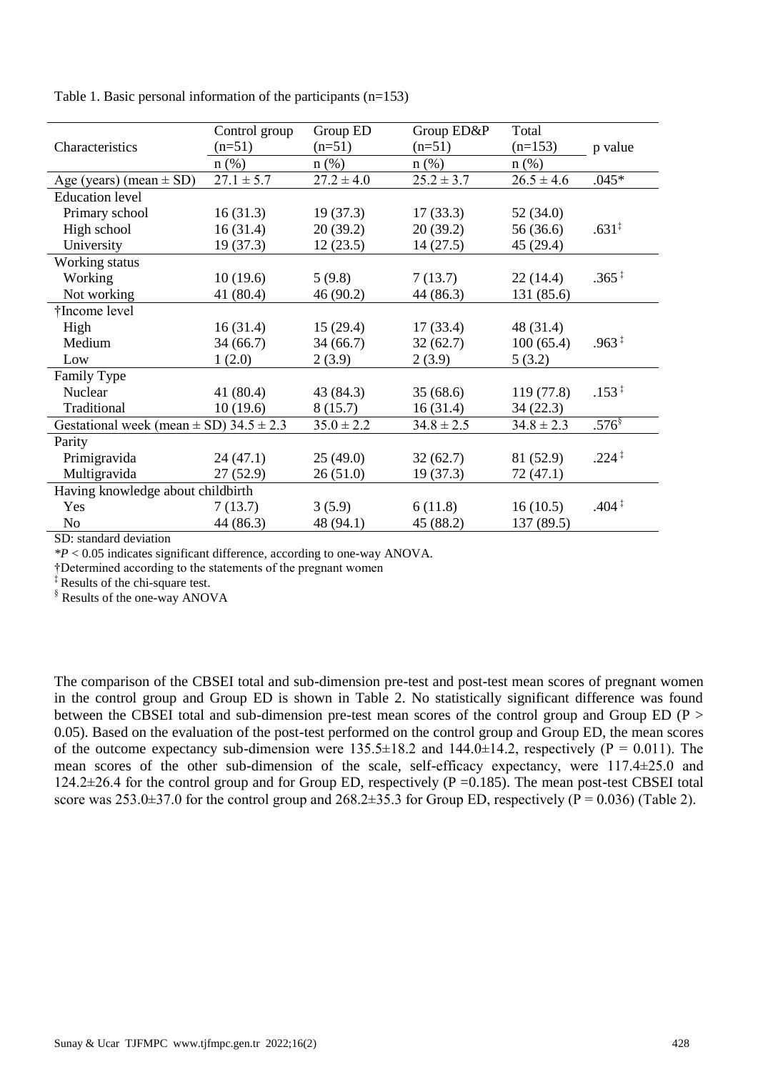|                                                                                   | Control group  | Group ED       | Group ED&P     | Total          |                   |
|-----------------------------------------------------------------------------------|----------------|----------------|----------------|----------------|-------------------|
| Characteristics                                                                   | $(n=51)$       | $(n=51)$       | $(n=51)$       | $(n=153)$      | p value           |
|                                                                                   | $n$ (%)        | $n$ (%)        | $n$ (%)        | $n$ (%)        |                   |
| Age (years) (mean $\pm$ SD)                                                       | $27.1 \pm 5.7$ | $27.2 \pm 4.0$ | $25.2 \pm 3.7$ | $26.5 \pm 4.6$ | $.045*$           |
| <b>Education</b> level                                                            |                |                |                |                |                   |
| Primary school                                                                    | 16(31.3)       | 19(37.3)       | 17(33.3)       | 52(34.0)       |                   |
| High school                                                                       | 16(31.4)       | 20(39.2)       | 20(39.2)       | 56 (36.6)      | .631 <sup>‡</sup> |
| University                                                                        | 19(37.3)       | 12(23.5)       | 14(27.5)       | 45 (29.4)      |                   |
| Working status                                                                    |                |                |                |                |                   |
| Working                                                                           | 10(19.6)       | 5(9.8)         | 7(13.7)        | 22(14.4)       | $.365*$           |
| Not working                                                                       | 41 (80.4)      | 46 (90.2)      | 44 (86.3)      | 131 (85.6)     |                   |
| †Income level                                                                     |                |                |                |                |                   |
| High                                                                              | 16(31.4)       | 15(29.4)       | 17(33.4)       | 48 (31.4)      |                   |
| Medium                                                                            | 34(66.7)       | 34(66.7)       | 32(62.7)       | 100(65.4)      | $.963*$           |
| Low                                                                               | 1(2.0)         | 2(3.9)         | 2(3.9)         | 5(3.2)         |                   |
| Family Type                                                                       |                |                |                |                |                   |
| Nuclear                                                                           | 41 $(80.4)$    | 43 (84.3)      | 35(68.6)       | 119(77.8)      | $.153*$           |
| Traditional                                                                       | 10(19.6)       | 8(15.7)        | 16(31.4)       | 34(22.3)       |                   |
| Gestational week (mean $\pm$ SD) 34.5 $\pm$ 2.3                                   |                | $35.0 \pm 2.2$ | $34.8 \pm 2.5$ | $34.8 \pm 2.3$ | $.576^{\$}$       |
| Parity                                                                            |                |                |                |                |                   |
| Primigravida                                                                      | 24(47.1)       | 25(49.0)       | 32(62.7)       | 81 (52.9)      | $.224*$           |
| Multigravida                                                                      | 27(52.9)       | 26(51.0)       | 19(37.3)       | 72(47.1)       |                   |
| Having knowledge about childbirth                                                 |                |                |                |                |                   |
| Yes                                                                               | 7(13.7)        | 3(5.9)         | 6(11.8)        | 16(10.5)       | $.404 \pm$        |
| N <sub>o</sub><br>$\mathbf{a}$ and $\mathbf{a}$ and $\mathbf{a}$ and $\mathbf{a}$ | 44 (86.3)      | 48 (94.1)      | 45 (88.2)      | 137 (89.5)     |                   |

Table 1. Basic personal information of the participants (n=153)

SD: standard deviation

*\*P* < 0.05 indicates significant difference, according to one-way ANOVA.

†Determined according to the statements of the pregnant women

‡ Results of the chi-square test.

§ Results of the one-way ANOVA

The comparison of the CBSEI total and sub-dimension pre-test and post-test mean scores of pregnant women in the control group and Group ED is shown in Table 2. No statistically significant difference was found between the CBSEI total and sub-dimension pre-test mean scores of the control group and Group ED (P > 0.05). Based on the evaluation of the post-test performed on the control group and Group ED, the mean scores of the outcome expectancy sub-dimension were  $135.5\pm18.2$  and  $144.0\pm14.2$ , respectively (P = 0.011). The mean scores of the other sub-dimension of the scale, self-efficacy expectancy, were 117.4±25.0 and  $124.2\pm 26.4$  for the control group and for Group ED, respectively (P =0.185). The mean post-test CBSEI total score was  $253.0\pm37.0$  for the control group and  $268.2\pm35.3$  for Group ED, respectively (P = 0.036) (Table 2).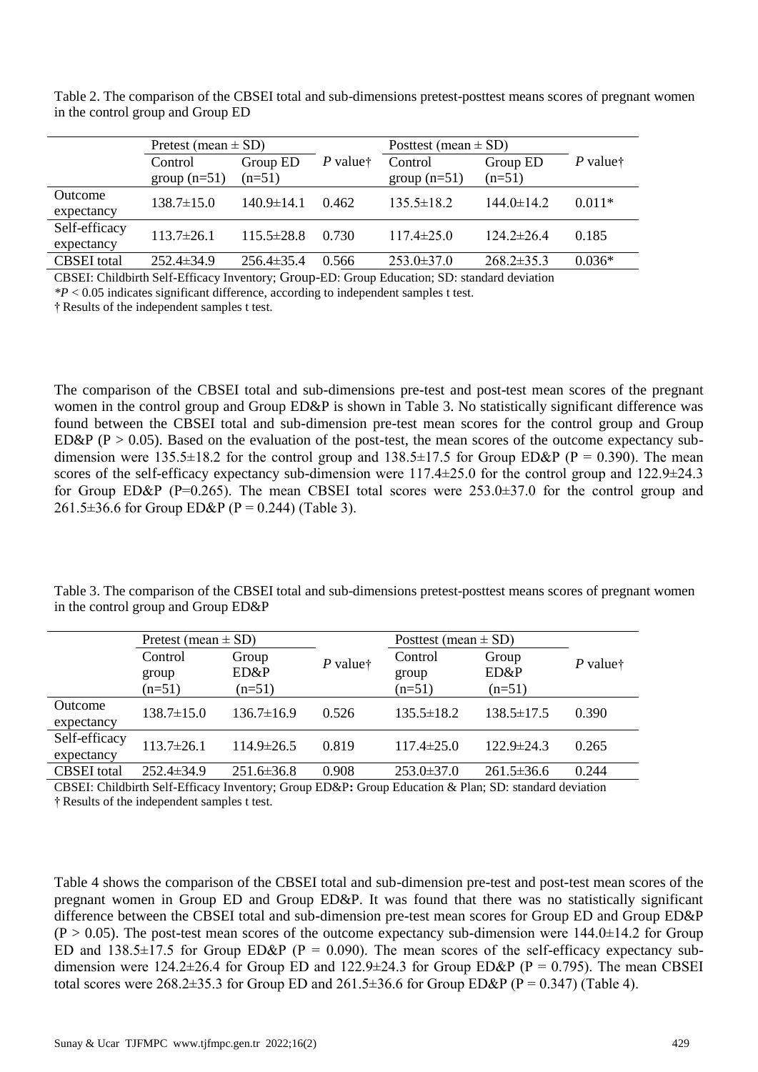Table 2. The comparison of the CBSEI total and sub-dimensions pretest-posttest means scores of pregnant women in the control group and Group ED

|                       | Pretest (mean $\pm$ SD) |                  |                                           | Posttest (mean $\pm$ SD) |                  |                        |
|-----------------------|-------------------------|------------------|-------------------------------------------|--------------------------|------------------|------------------------|
|                       | Control                 | Group ED         | $P$ value <sup><math>\dagger</math></sup> | Control                  | Group ED         | $P$ value <sup>†</sup> |
|                       | group $(n=51)$          | $(n=51)$         |                                           | $group(n=51)$            | $(n=51)$         |                        |
| Outcome<br>expectancy | $138.7 \pm 15.0$        | $140.9 \pm 14.1$ | 0.462                                     | $135.5 \pm 18.2$         | $144.0 \pm 14.2$ | $0.011*$               |
| Self-efficacy         | $113.7\pm 26.1$         | $115.5 \pm 28.8$ | 0.730                                     | $117.4 \pm 25.0$         | $124.2 \pm 26.4$ | 0.185                  |
| expectancy            |                         |                  |                                           |                          |                  |                        |
| <b>CBSEI</b> total    | $252.4 \pm 34.9$        | $256.4 \pm 35.4$ | 0.566                                     | $253.0 \pm 37.0$         | $268.2 \pm 35.3$ | $0.036*$               |

CBSEI: Childbirth Self-Efficacy Inventory; Group-ED: Group Education; SD: standard deviation

*\*P* < 0.05 indicates significant difference, according to independent samples t test.

† Results of the independent samples t test.

The comparison of the CBSEI total and sub-dimensions pre-test and post-test mean scores of the pregnant women in the control group and Group ED&P is shown in Table 3. No statistically significant difference was found between the CBSEI total and sub-dimension pre-test mean scores for the control group and Group ED&P (P > 0.05). Based on the evaluation of the post-test, the mean scores of the outcome expectancy subdimension were 135.5 $\pm$ 18.2 for the control group and 138.5 $\pm$ 17.5 for Group ED&P (P = 0.390). The mean scores of the self-efficacy expectancy sub-dimension were 117.4 $\pm$ 25.0 for the control group and 122.9 $\pm$ 24.3 for Group ED&P (P=0.265). The mean CBSEI total scores were  $253.0\pm37.0$  for the control group and 261.5 $\pm$ 36.6 for Group ED&P (P = 0.244) (Table 3).

Table 3. The comparison of the CBSEI total and sub-dimensions pretest-posttest means scores of pregnant women in the control group and Group ED&P

|                    | Pretest (mean $\pm$ SD) |                  |                        | Posttest (mean $\pm$ SD) |                  |            |
|--------------------|-------------------------|------------------|------------------------|--------------------------|------------------|------------|
|                    | Control                 | Group            | $P$ value <sup>†</sup> | Control                  | Group            | $P$ valuet |
|                    | group                   | ED&P             |                        | group                    | ED&P             |            |
|                    | $(n=51)$                | $(n=51)$         |                        | $(n=51)$                 | $(n=51)$         |            |
| Outcome            | $138.7 \pm 15.0$        | $136.7\pm16.9$   | 0.526                  | $135.5 \pm 18.2$         | $138.5 \pm 17.5$ | 0.390      |
| expectancy         |                         |                  |                        |                          |                  |            |
| Self-efficacy      | $113.7 \pm 26.1$        | $114.9 \pm 26.5$ | 0.819                  | $117.4 \pm 25.0$         | $122.9 \pm 24.3$ | 0.265      |
| expectancy         |                         |                  |                        |                          |                  |            |
| <b>CBSEI</b> total | $252.4 \pm 34.9$        | $251.6 \pm 36.8$ | 0.908                  | $253.0 \pm 37.0$         | $261.5 \pm 36.6$ | 0.244      |

CBSEI: Childbirth Self-Efficacy Inventory; Group ED&P**:** Group Education & Plan; SD: standard deviation † Results of the independent samples t test.

Table 4 shows the comparison of the CBSEI total and sub-dimension pre-test and post-test mean scores of the pregnant women in Group ED and Group ED&P. It was found that there was no statistically significant difference between the CBSEI total and sub-dimension pre-test mean scores for Group ED and Group ED&P  $(P > 0.05)$ . The post-test mean scores of the outcome expectancy sub-dimension were 144.0 $\pm$ 14.2 for Group ED and  $138.5\pm17.5$  for Group ED&P (P = 0.090). The mean scores of the self-efficacy expectancy subdimension were  $124.2\pm 26.4$  for Group ED and  $122.9\pm 24.3$  for Group ED&P (P = 0.795). The mean CBSEI total scores were  $268.2\pm35.3$  for Group ED and  $261.5\pm36.6$  for Group ED&P (P = 0.347) (Table 4).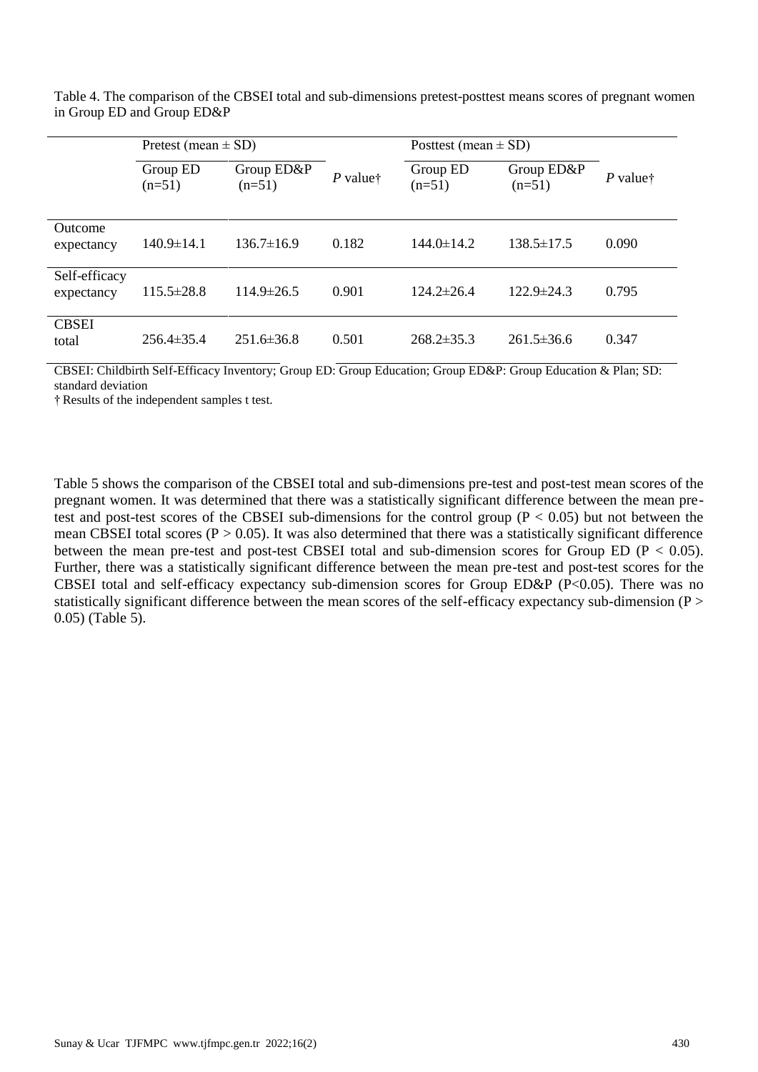|                              | Pretest (mean $\pm$ SD) |                        |                        | Posttest (mean $\pm$ SD) |                        |                                           |
|------------------------------|-------------------------|------------------------|------------------------|--------------------------|------------------------|-------------------------------------------|
|                              | Group ED<br>$(n=51)$    | Group ED&P<br>$(n=51)$ | $P$ value <sup>†</sup> | Group ED<br>$(n=51)$     | Group ED&P<br>$(n=51)$ | $P$ value <sup><math>\dagger</math></sup> |
| <b>Outcome</b><br>expectancy | $140.9 \pm 14.1$        | $136.7\pm16.9$         | 0.182                  | $144.0 \pm 14.2$         | $138.5 \pm 17.5$       | 0.090                                     |
| Self-efficacy<br>expectancy  | $115.5 \pm 28.8$        | $114.9 \pm 26.5$       | 0.901                  | $124.2 \pm 26.4$         | $122.9 \pm 24.3$       | 0.795                                     |
| <b>CBSEI</b><br>total        | $256.4\pm35.4$          | $251.6 \pm 36.8$       | 0.501                  | $268.2 \pm 35.3$         | $261.5 \pm 36.6$       | 0.347                                     |

Table 4. The comparison of the CBSEI total and sub-dimensions pretest-posttest means scores of pregnant women in Group ED and Group ED&P

CBSEI: Childbirth Self-Efficacy Inventory; Group ED: Group Education; Group ED&P: Group Education & Plan; SD: standard deviation

† Results of the independent samples t test.

Table 5 shows the comparison of the CBSEI total and sub-dimensions pre-test and post-test mean scores of the pregnant women. It was determined that there was a statistically significant difference between the mean pretest and post-test scores of the CBSEI sub-dimensions for the control group ( $P < 0.05$ ) but not between the mean CBSEI total scores ( $P > 0.05$ ). It was also determined that there was a statistically significant difference between the mean pre-test and post-test CBSEI total and sub-dimension scores for Group ED ( $P < 0.05$ ). Further, there was a statistically significant difference between the mean pre-test and post-test scores for the CBSEI total and self-efficacy expectancy sub-dimension scores for Group ED&P (P<0.05). There was no statistically significant difference between the mean scores of the self-efficacy expectancy sub-dimension (P > 0.05) (Table 5).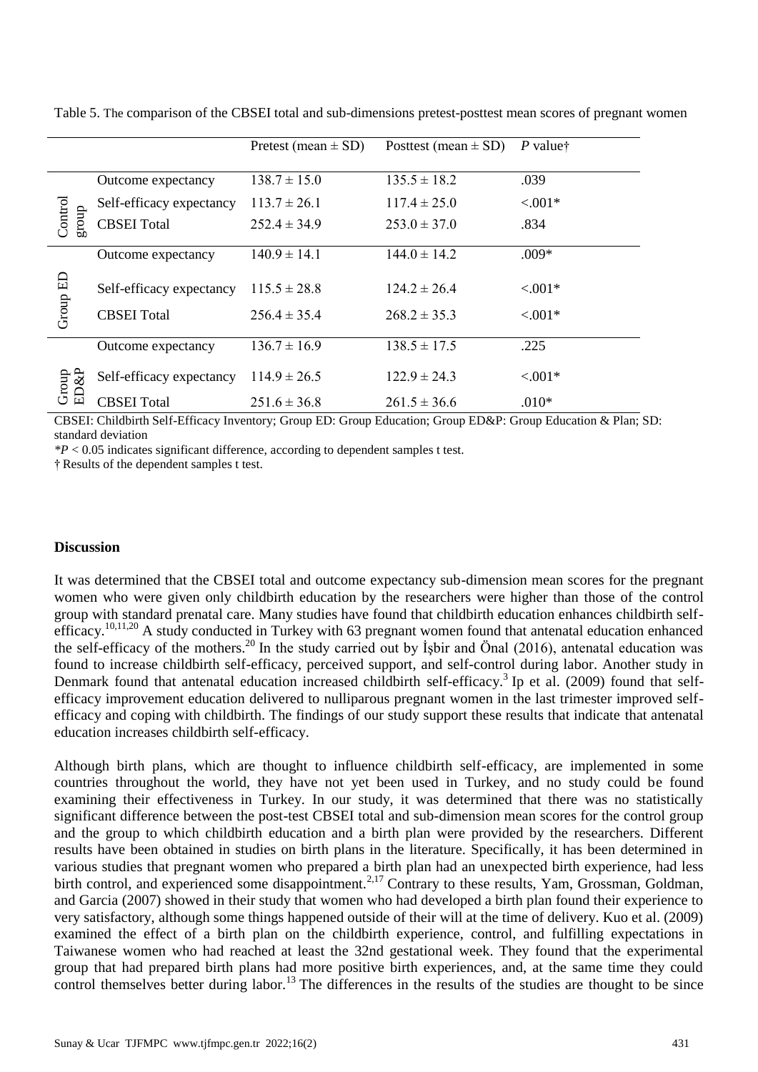|                  |                          | Pretest (mean $\pm$ SD) | Posttest (mean $\pm$ SD) | P valuet   |
|------------------|--------------------------|-------------------------|--------------------------|------------|
|                  | Outcome expectancy       | $138.7 \pm 15.0$        | $135.5 \pm 18.2$         | .039       |
|                  | Self-efficacy expectancy | $113.7 \pm 26.1$        | $117.4 \pm 25.0$         | $< 0.01*$  |
| Control<br>group | <b>CBSEI</b> Total       | $252.4 \pm 34.9$        | $253.0 \pm 37.0$         | .834       |
|                  | Outcome expectancy       | $140.9 \pm 14.1$        | $144.0 \pm 14.2$         | $.009*$    |
| Group ED         | Self-efficacy expectancy | $115.5 \pm 28.8$        | $124.2 \pm 26.4$         | $< 0.01*$  |
|                  | <b>CBSEI</b> Total       | $256.4 \pm 35.4$        | $268.2 \pm 35.3$         | $< 0.01*$  |
|                  | Outcome expectancy       | $136.7 \pm 16.9$        | $138.5 \pm 17.5$         | .225       |
| $\&P$<br>Group   | Self-efficacy expectancy | $114.9 \pm 26.5$        | $122.9 \pm 24.3$         | $< 0.001*$ |
| E                | <b>CBSEI</b> Total       | $251.6 \pm 36.8$        | $261.5 \pm 36.6$         | $.010*$    |

Table 5. The comparison of the CBSEI total and sub-dimensions pretest-posttest mean scores of pregnant women

CBSEI: Childbirth Self-Efficacy Inventory; Group ED: Group Education; Group ED&P: Group Education & Plan; SD: standard deviation

*\*P* < 0.05 indicates significant difference, according to dependent samples t test.

† Results of the dependent samples t test.

#### **Discussion**

It was determined that the CBSEI total and outcome expectancy sub-dimension mean scores for the pregnant women who were given only childbirth education by the researchers were higher than those of the control group with standard prenatal care. Many studies have found that childbirth education enhances childbirth selfefficacy.<sup>10,11,20</sup> A study conducted in Turkey with 63 pregnant women found that antenatal education enhanced the self-efficacy of the mothers.<sup>20</sup> In the study carried out by İşbir and Önal (2016), antenatal education was found to increase childbirth self-efficacy, perceived support, and self-control during labor. Another study in Denmark found that antenatal education increased childbirth self-efficacy.<sup>3</sup> Ip et al. (2009) found that selfefficacy improvement education delivered to nulliparous pregnant women in the last trimester improved selfefficacy and coping with childbirth. The findings of our study support these results that indicate that antenatal education increases childbirth self-efficacy.

Although birth plans, which are thought to influence childbirth self-efficacy, are implemented in some countries throughout the world, they have not yet been used in Turkey, and no study could be found examining their effectiveness in Turkey. In our study, it was determined that there was no statistically significant difference between the post-test CBSEI total and sub-dimension mean scores for the control group and the group to which childbirth education and a birth plan were provided by the researchers. Different results have been obtained in studies on birth plans in the literature. Specifically, it has been determined in various studies that pregnant women who prepared a birth plan had an unexpected birth experience, had less birth control, and experienced some disappointment.<sup>2,17</sup> Contrary to these results, Yam, Grossman, Goldman, and Garcia (2007) showed in their study that women who had developed a birth plan found their experience to very satisfactory, although some things happened outside of their will at the time of delivery. Kuo et al. (2009) examined the effect of a birth plan on the childbirth experience, control, and fulfilling expectations in Taiwanese women who had reached at least the 32nd gestational week. They found that the experimental group that had prepared birth plans had more positive birth experiences, and, at the same time they could control themselves better during labor.<sup>13</sup> The differences in the results of the studies are thought to be since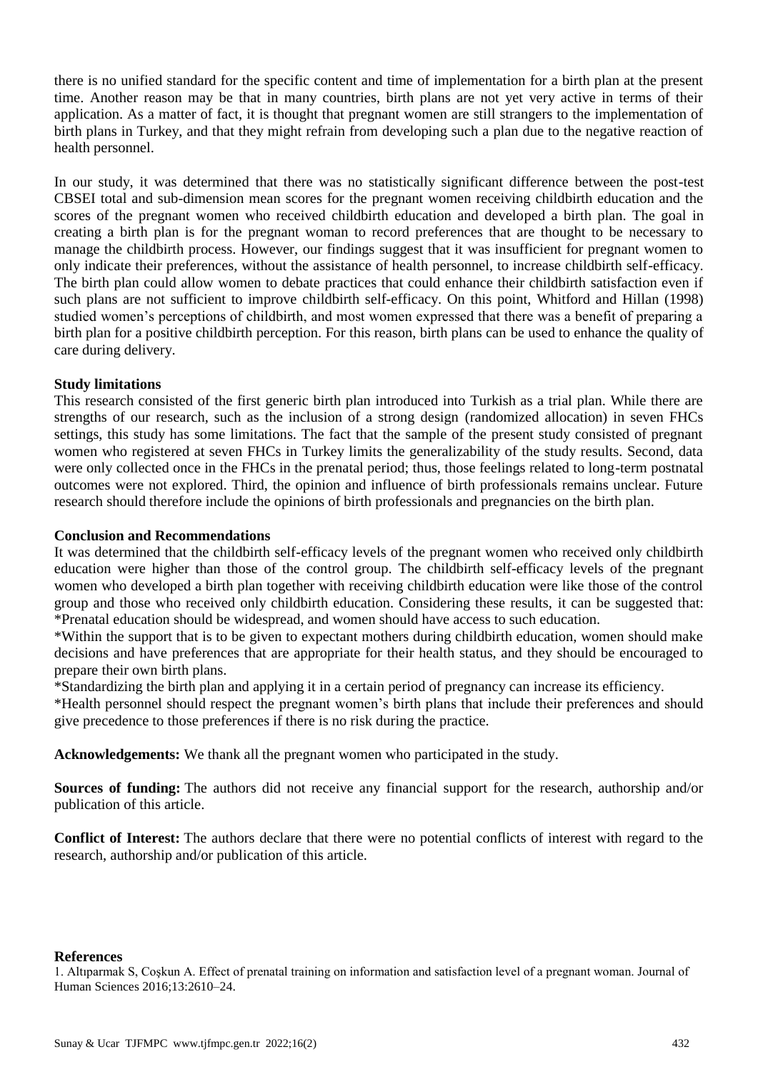there is no unified standard for the specific content and time of implementation for a birth plan at the present time. Another reason may be that in many countries, birth plans are not yet very active in terms of their application. As a matter of fact, it is thought that pregnant women are still strangers to the implementation of birth plans in Turkey, and that they might refrain from developing such a plan due to the negative reaction of health personnel.

In our study, it was determined that there was no statistically significant difference between the post-test CBSEI total and sub-dimension mean scores for the pregnant women receiving childbirth education and the scores of the pregnant women who received childbirth education and developed a birth plan. The goal in creating a birth plan is for the pregnant woman to record preferences that are thought to be necessary to manage the childbirth process. However, our findings suggest that it was insufficient for pregnant women to only indicate their preferences, without the assistance of health personnel, to increase childbirth self-efficacy. The birth plan could allow women to debate practices that could enhance their childbirth satisfaction even if such plans are not sufficient to improve childbirth self-efficacy. On this point, Whitford and Hillan (1998) studied women's perceptions of childbirth, and most women expressed that there was a benefit of preparing a birth plan for a positive childbirth perception. For this reason, birth plans can be used to enhance the quality of care during delivery.

# **Study limitations**

This research consisted of the first generic birth plan introduced into Turkish as a trial plan. While there are strengths of our research, such as the inclusion of a strong design (randomized allocation) in seven FHCs settings, this study has some limitations. The fact that the sample of the present study consisted of pregnant women who registered at seven FHCs in Turkey limits the generalizability of the study results. Second, data were only collected once in the FHCs in the prenatal period; thus, those feelings related to long-term postnatal outcomes were not explored. Third, the opinion and influence of birth professionals remains unclear. Future research should therefore include the opinions of birth professionals and pregnancies on the birth plan.

### **Conclusion and Recommendations**

It was determined that the childbirth self-efficacy levels of the pregnant women who received only childbirth education were higher than those of the control group. The childbirth self-efficacy levels of the pregnant women who developed a birth plan together with receiving childbirth education were like those of the control group and those who received only childbirth education. Considering these results, it can be suggested that: \*Prenatal education should be widespread, and women should have access to such education.

\*Within the support that is to be given to expectant mothers during childbirth education, women should make decisions and have preferences that are appropriate for their health status, and they should be encouraged to prepare their own birth plans.

\*Standardizing the birth plan and applying it in a certain period of pregnancy can increase its efficiency.

\*Health personnel should respect the pregnant women's birth plans that include their preferences and should give precedence to those preferences if there is no risk during the practice.

**Acknowledgements:** We thank all the pregnant women who participated in the study.

**Sources of funding:** The authors did not receive any financial support for the research, authorship and/or publication of this article.

**Conflict of Interest:** The authors declare that there were no potential conflicts of interest with regard to the research, authorship and/or publication of this article.

### **References**

1. Altıparmak S, Coşkun A. Effect of prenatal training on information and satisfaction level of a pregnant woman. Journal of Human Sciences 2016;13:2610–24.